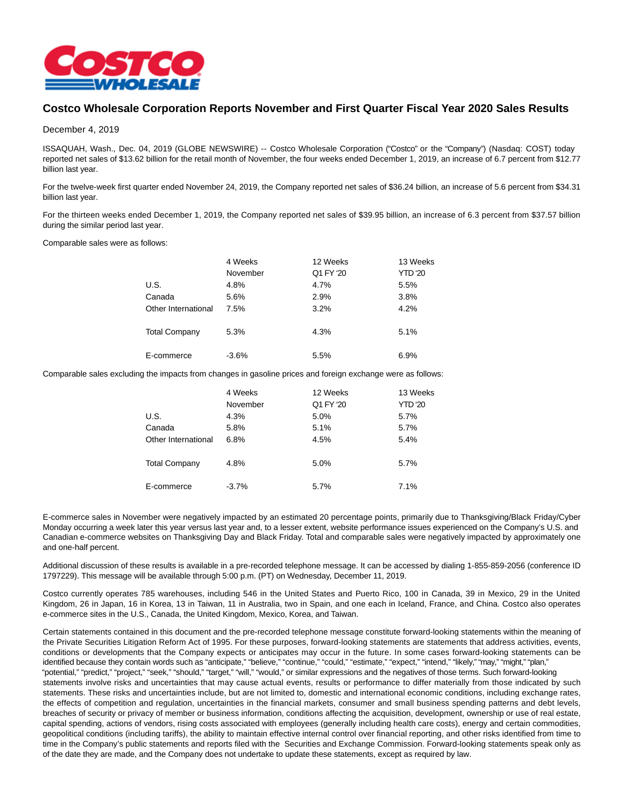

## **Costco Wholesale Corporation Reports November and First Quarter Fiscal Year 2020 Sales Results**

December 4, 2019

ISSAQUAH, Wash., Dec. 04, 2019 (GLOBE NEWSWIRE) -- Costco Wholesale Corporation ("Costco" or the "Company") (Nasdaq: COST) today reported net sales of \$13.62 billion for the retail month of November, the four weeks ended December 1, 2019, an increase of 6.7 percent from \$12.77 billion last year.

For the twelve-week first quarter ended November 24, 2019, the Company reported net sales of \$36.24 billion, an increase of 5.6 percent from \$34.31 billion last year.

For the thirteen weeks ended December 1, 2019, the Company reported net sales of \$39.95 billion, an increase of 6.3 percent from \$37.57 billion during the similar period last year.

Comparable sales were as follows:

|                      | 4 Weeks<br>November | 12 Weeks<br>Q1 FY '20 | 13 Weeks<br><b>YTD</b> '20 |
|----------------------|---------------------|-----------------------|----------------------------|
| U.S.                 | 4.8%                | 4.7%                  | 5.5%                       |
| Canada               | 5.6%                | 2.9%                  | 3.8%                       |
| Other International  | 7.5%                | 3.2%                  | 4.2%                       |
| <b>Total Company</b> | 5.3%                | 4.3%                  | 5.1%                       |
| E-commerce           | $-3.6%$             | 5.5%                  | 6.9%                       |

Comparable sales excluding the impacts from changes in gasoline prices and foreign exchange were as follows:

|                      | 4 Weeks<br>November | 12 Weeks<br>Q1 FY '20 | 13 Weeks<br><b>YTD '20</b> |
|----------------------|---------------------|-----------------------|----------------------------|
|                      |                     |                       |                            |
| U.S.                 | 4.3%                | 5.0%                  | 5.7%                       |
| Canada               | 5.8%                | 5.1%                  | 5.7%                       |
| Other International  | 6.8%                | 4.5%                  | 5.4%                       |
| <b>Total Company</b> | 4.8%                | 5.0%                  | 5.7%                       |
| E-commerce           | $-3.7\%$            | 5.7%                  | 7.1%                       |

E-commerce sales in November were negatively impacted by an estimated 20 percentage points, primarily due to Thanksgiving/Black Friday/Cyber Monday occurring a week later this year versus last year and, to a lesser extent, website performance issues experienced on the Company's U.S. and Canadian e-commerce websites on Thanksgiving Day and Black Friday. Total and comparable sales were negatively impacted by approximately one and one-half percent.

Additional discussion of these results is available in a pre-recorded telephone message. It can be accessed by dialing 1-855-859-2056 (conference ID 1797229). This message will be available through 5:00 p.m. (PT) on Wednesday, December 11, 2019.

Costco currently operates 785 warehouses, including 546 in the United States and Puerto Rico, 100 in Canada, 39 in Mexico, 29 in the United Kingdom, 26 in Japan, 16 in Korea, 13 in Taiwan, 11 in Australia, two in Spain, and one each in Iceland, France, and China. Costco also operates e-commerce sites in the U.S., Canada, the United Kingdom, Mexico, Korea, and Taiwan.

Certain statements contained in this document and the pre-recorded telephone message constitute forward-looking statements within the meaning of the Private Securities Litigation Reform Act of 1995. For these purposes, forward-looking statements are statements that address activities, events, conditions or developments that the Company expects or anticipates may occur in the future. In some cases forward-looking statements can be identified because they contain words such as "anticipate," "believe," "continue," "could," "estimate," "expect," "intend," "likely," "may," "might," "plan," "potential," "predict," "project," "seek," "should," "target," "will," "would," or similar expressions and the negatives of those terms. Such forward-looking statements involve risks and uncertainties that may cause actual events, results or performance to differ materially from those indicated by such statements. These risks and uncertainties include, but are not limited to, domestic and international economic conditions, including exchange rates, the effects of competition and regulation, uncertainties in the financial markets, consumer and small business spending patterns and debt levels, breaches of security or privacy of member or business information, conditions affecting the acquisition, development, ownership or use of real estate, capital spending, actions of vendors, rising costs associated with employees (generally including health care costs), energy and certain commodities, geopolitical conditions (including tariffs), the ability to maintain effective internal control over financial reporting, and other risks identified from time to time in the Company's public statements and reports filed with the Securities and Exchange Commission. Forward-looking statements speak only as of the date they are made, and the Company does not undertake to update these statements, except as required by law.